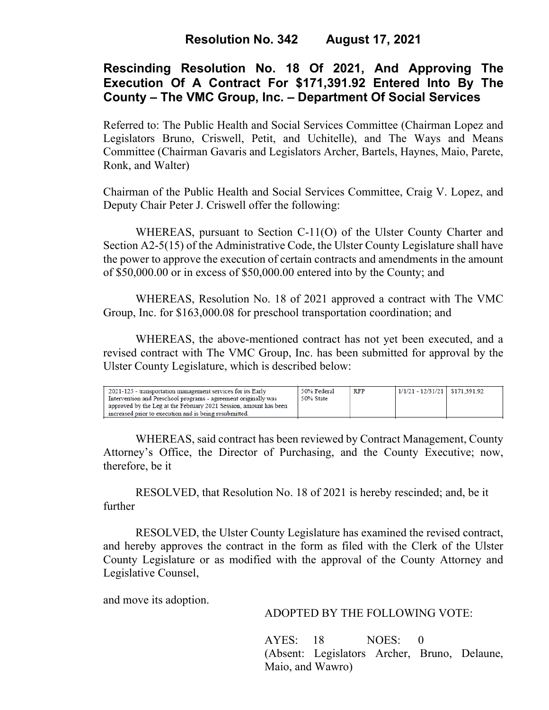# **Rescinding Resolution No. 18 Of 2021, And Approving The Execution Of A Contract For \$171,391.92 Entered Into By The County – The VMC Group, Inc. – Department Of Social Services**

Referred to: The Public Health and Social Services Committee (Chairman Lopez and Legislators Bruno, Criswell, Petit, and Uchitelle), and The Ways and Means Committee (Chairman Gavaris and Legislators Archer, Bartels, Haynes, Maio, Parete, Ronk, and Walter)

Chairman of the Public Health and Social Services Committee, Craig V. Lopez, and Deputy Chair Peter J. Criswell offer the following:

WHEREAS, pursuant to Section C-11(O) of the Ulster County Charter and Section A2-5(15) of the Administrative Code, the Ulster County Legislature shall have the power to approve the execution of certain contracts and amendments in the amount of \$50,000.00 or in excess of \$50,000.00 entered into by the County; and

WHEREAS, Resolution No. 18 of 2021 approved a contract with The VMC Group, Inc. for \$163,000.08 for preschool transportation coordination; and

WHEREAS, the above-mentioned contract has not yet been executed, and a revised contract with The VMC Group, Inc. has been submitted for approval by the Ulster County Legislature, which is described below:

| 2021-125 - transportation management services for its Early<br>Intervention and Preschool programs - agreement originally was<br>approved by the Leg at the February 2021 Session, amount has been | 50% Federal<br>50% State | <b>RFP</b> | $1/1/21 - 12/31/21$ \$171.391.92 |  |
|----------------------------------------------------------------------------------------------------------------------------------------------------------------------------------------------------|--------------------------|------------|----------------------------------|--|
| increased prior to execution and is being resubmitted.                                                                                                                                             |                          |            |                                  |  |
|                                                                                                                                                                                                    |                          |            |                                  |  |

WHEREAS, said contract has been reviewed by Contract Management, County Attorney's Office, the Director of Purchasing, and the County Executive; now, therefore, be it

RESOLVED, that Resolution No. 18 of 2021 is hereby rescinded; and, be it further

RESOLVED, the Ulster County Legislature has examined the revised contract, and hereby approves the contract in the form as filed with the Clerk of the Ulster County Legislature or as modified with the approval of the County Attorney and Legislative Counsel,

and move its adoption.

## ADOPTED BY THE FOLLOWING VOTE:

AYES: 18 NOES: 0 (Absent: Legislators Archer, Bruno, Delaune, Maio, and Wawro)